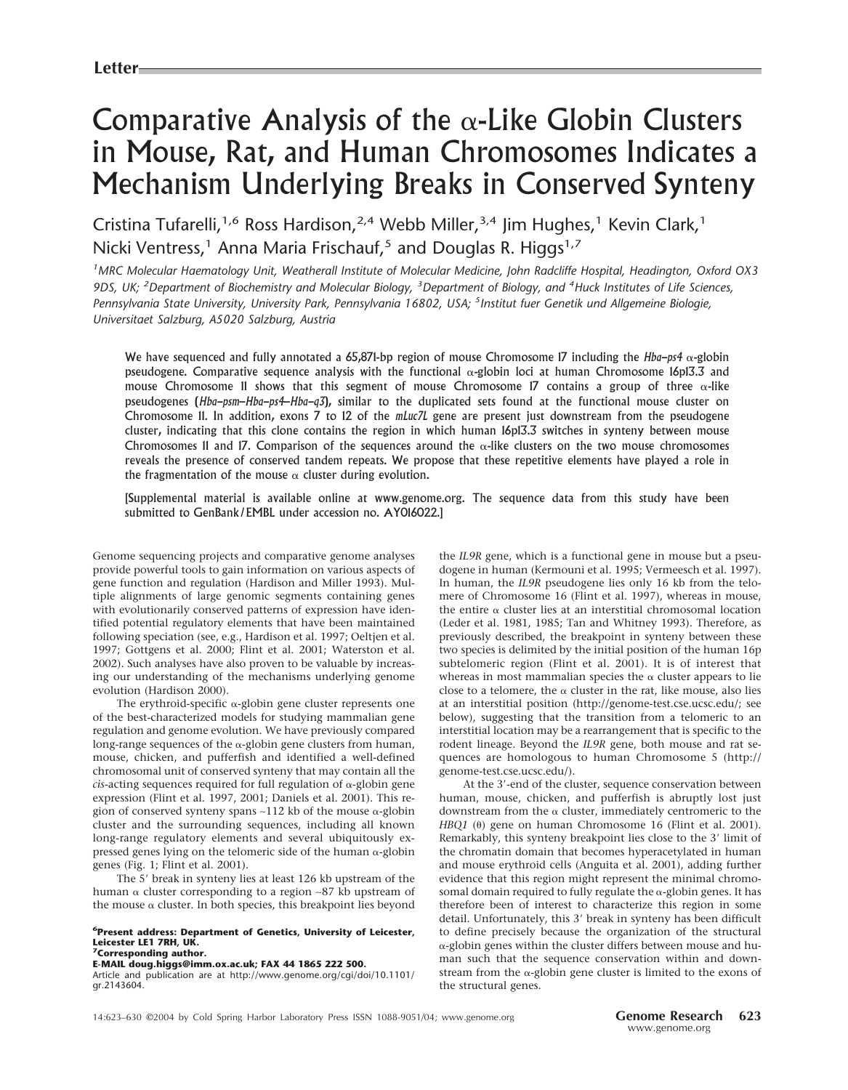# Comparative Analysis of the  $\alpha$ -Like Globin Clusters in Mouse, Rat, and Human Chromosomes Indicates a Mechanism Underlying Breaks in Conserved Synteny

Cristina Tufarelli,<sup>1,6</sup> Ross Hardison,<sup>2,4</sup> Webb Miller,<sup>3,4</sup> Jim Hughes,<sup>1</sup> Kevin Clark,<sup>1</sup> Nicki Ventress,<sup>1</sup> Anna Maria Frischauf,<sup>5</sup> and Douglas R. Higgs<sup>1,7</sup>

*1 MRC Molecular Haematology Unit, Weatherall Institute of Molecular Medicine, John Radcliffe Hospital, Headington, Oxford OX3* 9DS, UK; <sup>2</sup>Department of Biochemistry and Molecular Biology, <sup>3</sup>Department of Biology, and <sup>4</sup>Huck Institutes of Life Sciences, *Pennsylvania State University, University Park, Pennsylvania 16802, USA; <sup>5</sup> Institut fuer Genetik und Allgemeine Biologie, Universitaet Salzburg, A5020 Salzburg, Austria*

We have sequenced and fully annotated a  $65,871$ -bp region of mouse Chromosome I7 including the *Hba-ps4*  $\alpha$ -globin pseudogene. Comparative sequence analysis with the functional  $\alpha$ -globin loci at human Chromosome 16p13.3 and mouse Chromosome 11 shows that this segment of mouse Chromosome 17 contains a group of three  $\alpha$ -like pseudogenes (*Hba-psm*–*Hba-ps4*–*Hba-q3*), similar to the duplicated sets found at the functional mouse cluster on Chromosome 11. In addition, exons 7 to 12 of the *mLuc7L* gene are present just downstream from the pseudogene cluster, indicating that this clone contains the region in which human 16p13.3 switches in synteny between mouse Chromosomes 11 and 17. Comparison of the sequences around the  $\alpha$ -like clusters on the two mouse chromosomes reveals the presence of conserved tandem repeats. We propose that these repetitive elements have played a role in the fragmentation of the mouse  $\alpha$  cluster during evolution.

[Supplemental material is available online at www.genome.org. The sequence data from this study have been submitted to GenBank/EMBL under accession no. AY016022.]

Genome sequencing projects and comparative genome analyses provide powerful tools to gain information on various aspects of gene function and regulation (Hardison and Miller 1993). Multiple alignments of large genomic segments containing genes with evolutionarily conserved patterns of expression have identified potential regulatory elements that have been maintained following speciation (see, e.g., Hardison et al. 1997; Oeltjen et al. 1997; Gottgens et al. 2000; Flint et al. 2001; Waterston et al. 2002). Such analyses have also proven to be valuable by increasing our understanding of the mechanisms underlying genome evolution (Hardison 2000).

The erythroid-specific  $\alpha$ -globin gene cluster represents one of the best-characterized models for studying mammalian gene regulation and genome evolution. We have previously compared long-range sequences of the  $\alpha$ -globin gene clusters from human, mouse, chicken, and pufferfish and identified a well-defined chromosomal unit of conserved synteny that may contain all the  $cis$ -acting sequences required for full regulation of  $\alpha$ -globin gene expression (Flint et al. 1997, 2001; Daniels et al. 2001). This region of conserved synteny spans ~112 kb of the mouse  $\alpha$ -globin cluster and the surrounding sequences, including all known long-range regulatory elements and several ubiquitously expressed genes lying on the telomeric side of the human  $\alpha$  -globin genes (Fig. 1; Flint et al. 2001).

The 5' break in synteny lies at least 126 kb upstream of the human α cluster corresponding to a region ~87 kb upstream of the mouse  $\alpha$  cluster. In both species, this breakpoint lies beyond

## **6Present address: Department of Genetics, University of Leicester, Leicester LE1 7RH, UK. 7Corresponding author.**

**E-MAIL doug.higgs@imm.ox.ac.uk; FAX 44 1865 222 500.**

Article and publication are at http://www.genome.org/cgi/doi/10.1101/ gr.2143604.

the *IL9R* gene, which is a functional gene in mouse but a pseudogene in human (Kermouni et al. 1995; Vermeesch et al. 1997). In human, the *IL9R* pseudogene lies only 16 kb from the telomere of Chromosome 16 (Flint et al. 1997), whereas in mouse, the entire  $\alpha$  cluster lies at an interstitial chromosomal location (Leder et al. 1981, 1985; Tan and Whitney 1993). Therefore, as previously described, the breakpoint in synteny between these two species is delimited by the initial position of the human 16p subtelomeric region (Flint et al. 2001). It is of interest that whereas in most mammalian species the  $\alpha$  cluster appears to lie close to a telomere, the  $\alpha$  cluster in the rat, like mouse, also lies at an interstitial position (http://genome-test.cse.ucsc.edu/; see below), suggesting that the transition from a telomeric to an interstitial location may be a rearrangement that is specific to the rodent lineage. Beyond the *IL9R* gene, both mouse and rat sequences are homologous to human Chromosome 5 (http:// genome-test.cse.ucsc.edu/).

At the 3'-end of the cluster, sequence conservation between human, mouse, chicken, and pufferfish is abruptly lost just downstream from the  $\alpha$  cluster, immediately centromeric to the HBQ1 (0) gene on human Chromosome 16 (Flint et al. 2001). Remarkably, this synteny breakpoint lies close to the 3' limit of the chromatin domain that becomes hyperacetylated in human and mouse erythroid cells (Anguita et al. 2001), adding further evidence that this region might represent the minimal chromosomal domain required to fully regulate the  $\alpha$ -globin genes. It has therefore been of interest to characterize this region in some detail. Unfortunately, this 3' break in synteny has been difficult to define precisely because the organization of the structural -globin genes within the cluster differs between mouse and human such that the sequence conservation within and downstream from the  $\alpha$ -globin gene cluster is limited to the exons of the structural genes.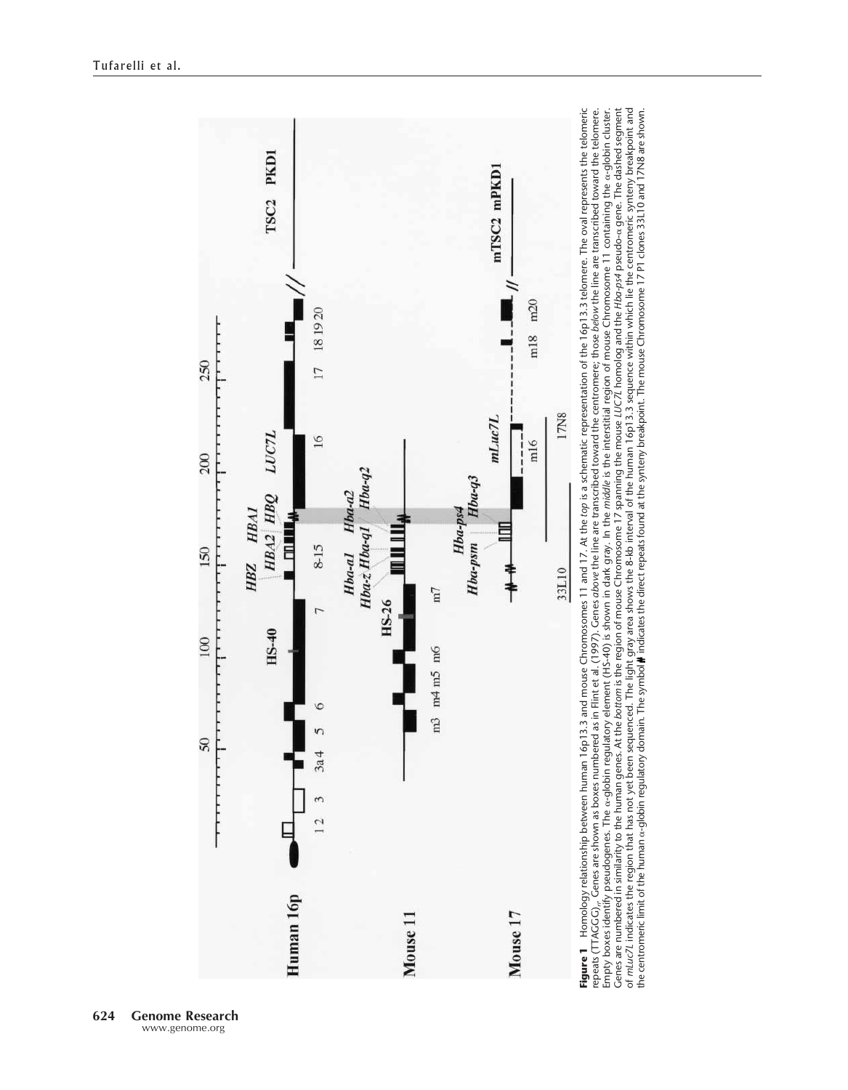

Genes are numbered in similarity to the human genes. At the bottom is the region of mouse Chromosome 17 spanning the mouse LUC7L homolog and the Hba-ps4 pseudo-α gene. The dashed segment of *mLuc7L* indicates the region that has not yet been sequenced. The light gray area shows the 8-kb interval of the human 16p13.3 sequence within which lie the centromeric synteny breakpoint and<br>the centromeric limit of Genes are numbered in similarity to the human genes. At the *bottom* is the region of mouse Chromosome 17 spanning the mouse *LUC7L* homolog and the *Hba-ps4* pseudo- gene. The dashed segment of *mLuc7L* indicates the region that has not yet been sequenced. The light gray area shows the 8-kb interval of the human 16p13.3 sequence within which lie the centromeric synteny breakpoint and the centromeric limit of the human  $\alpha$ -globin regulatory domain. The symbol $\blackparallel$  indicates the direct repeats found at the synteny breakpoint. The mouse Chromosome 17 P1 clones 33L10 and 17N8 are shown.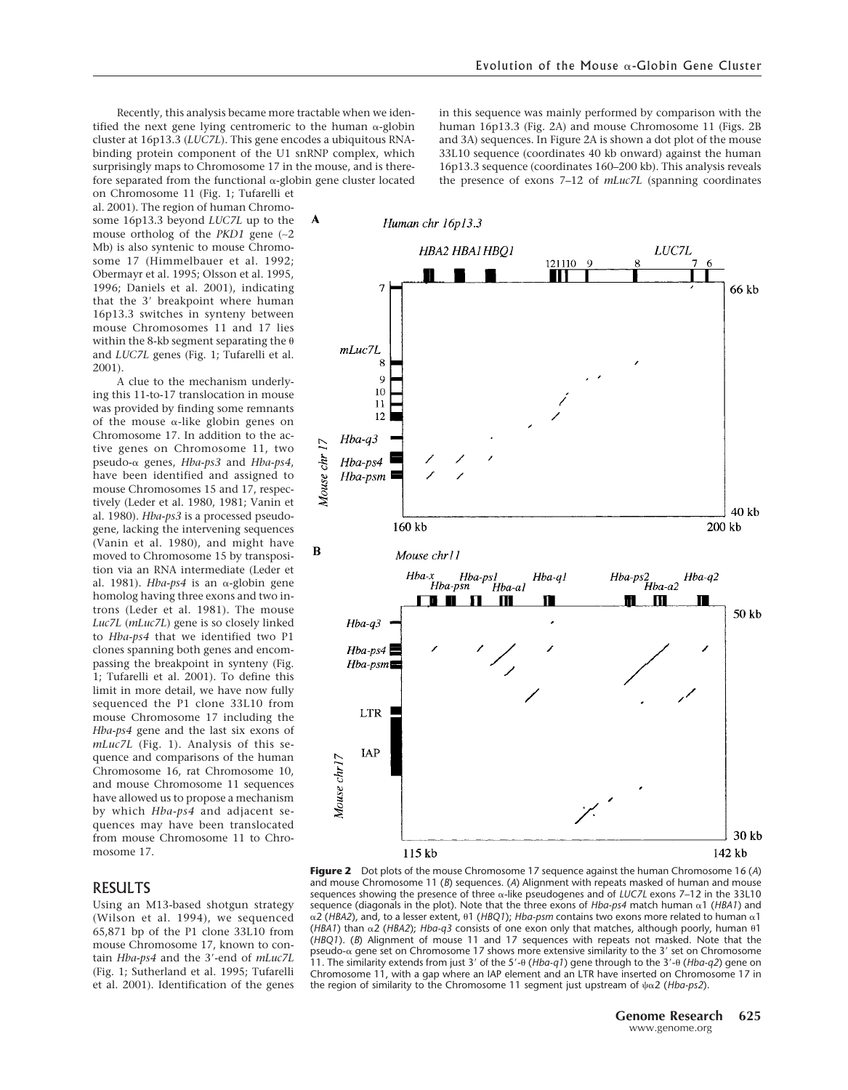Recently, this analysis became more tractable when we identified the next gene lying centromeric to the human  $\alpha$ -globin cluster at 16p13.3 (*LUC7L*). This gene encodes a ubiquitous RNAbinding protein component of the U1 snRNP complex, which surprisingly maps to Chromosome 17 in the mouse, and is therefore separated from the functional  $\alpha$ -globin gene cluster located

on Chromosome 11 (Fig. 1; Tufarelli et al. 2001). The region of human Chromosome 16p13.3 beyond *LUC7L* up to the mouse ortholog of the *PKD1* gene (∼2 Mb) is also syntenic to mouse Chromosome 17 (Himmelbauer et al. 1992; Obermayr et al. 1995; Olsson et al. 1995, 1996; Daniels et al. 2001), indicating that the 3' breakpoint where human 16p13.3 switches in synteny between mouse Chromosomes 11 and 17 lies within the 8-kb segment separating the  $\theta$ and *LUC7L* genes (Fig. 1; Tufarelli et al. 2001).

A clue to the mechanism underlying this 11-to-17 translocation in mouse was provided by finding some remnants of the mouse  $\alpha$ -like globin genes on Chromosome 17. In addition to the active genes on Chromosome 11, two pseudo-α genes, *Hba-ps3* and *Hba-ps4*, have been identified and assigned to mouse Chromosomes 15 and 17, respectively (Leder et al. 1980, 1981; Vanin et al. 1980). *Hba-ps3* is a processed pseudogene, lacking the intervening sequences (Vanin et al. 1980), and might have moved to Chromosome 15 by transposition via an RNA intermediate (Leder et al. 1981). *Hba-ps4* is an  $\alpha$ -globin gene homolog having three exons and two introns (Leder et al. 1981). The mouse *Luc7L* (*mLuc7L*) gene is so closely linked to *Hba-ps4* that we identified two P1 clones spanning both genes and encompassing the breakpoint in synteny (Fig. 1; Tufarelli et al. 2001). To define this limit in more detail, we have now fully sequenced the P1 clone 33L10 from mouse Chromosome 17 including the *Hba-ps4* gene and the last six exons of *mLuc7L* (Fig. 1). Analysis of this sequence and comparisons of the human Chromosome 16, rat Chromosome 10, and mouse Chromosome 11 sequences have allowed us to propose a mechanism by which *Hba-ps4* and adjacent sequences may have been translocated from mouse Chromosome 11 to Chromosome 17.

#### RESULTS

Using an M13-based shotgun strategy (Wilson et al. 1994), we sequenced 65,871 bp of the P1 clone 33L10 from mouse Chromosome 17, known to contain *Hba-ps4* and the 3-end of *mLuc7L* (Fig. 1; Sutherland et al. 1995; Tufarelli et al. 2001). Identification of the genes

in this sequence was mainly performed by comparison with the human 16p13.3 (Fig. 2A) and mouse Chromosome 11 (Figs. 2B and 3A) sequences. In Figure 2A is shown a dot plot of the mouse 33L10 sequence (coordinates 40 kb onward) against the human 16p13.3 sequence (coordinates 160–200 kb). This analysis reveals the presence of exons 7–12 of *mLuc7L* (spanning coordinates



**Figure 2** Dot plots of the mouse Chromosome 17 sequence against the human Chromosome 16 (*A*) and mouse Chromosome 11 (*B*) sequences. (*A*) Alignment with repeats masked of human and mouse sequences showing the presence of three  $\alpha$ -like pseudogenes and of *LUC7L* exons 7–12 in the 33L10 sequence (diagonals in the plot). Note that the three exons of  $Hba\text{-}ps4$  match human  $\alpha$ 1 ( $HBA1$ ) and  $\alpha$ 2 (HBA2), and, to a lesser extent,  $\theta$ 1 (HBQ1); *Hba-psm* contains two exons more related to human  $\alpha$ 1 ( $HBA1$ ) than  $\alpha$ 2 ( $HBA2$ );  $Hba-q3$  consists of one exon only that matches, although poorly, human  $\theta$ 1 (*HBQ1*). (*B*) Alignment of mouse 11 and 17 sequences with repeats not masked. Note that the pseudo- $\alpha$  gene set on Chromosome 17 shows more extensive similarity to the 3' set on Chromosome 11. The similarity extends from just 3' of the 5'-0 (*Hba-q1*) gene through to the 3'-0 (*Hba-q2*) gene on Chromosome 11, with a gap where an IAP element and an LTR have inserted on Chromosome 17 in the region of similarity to the Chromosome 11 segment just upstream of  $\psi \alpha$ 2 (*Hba-ps2*).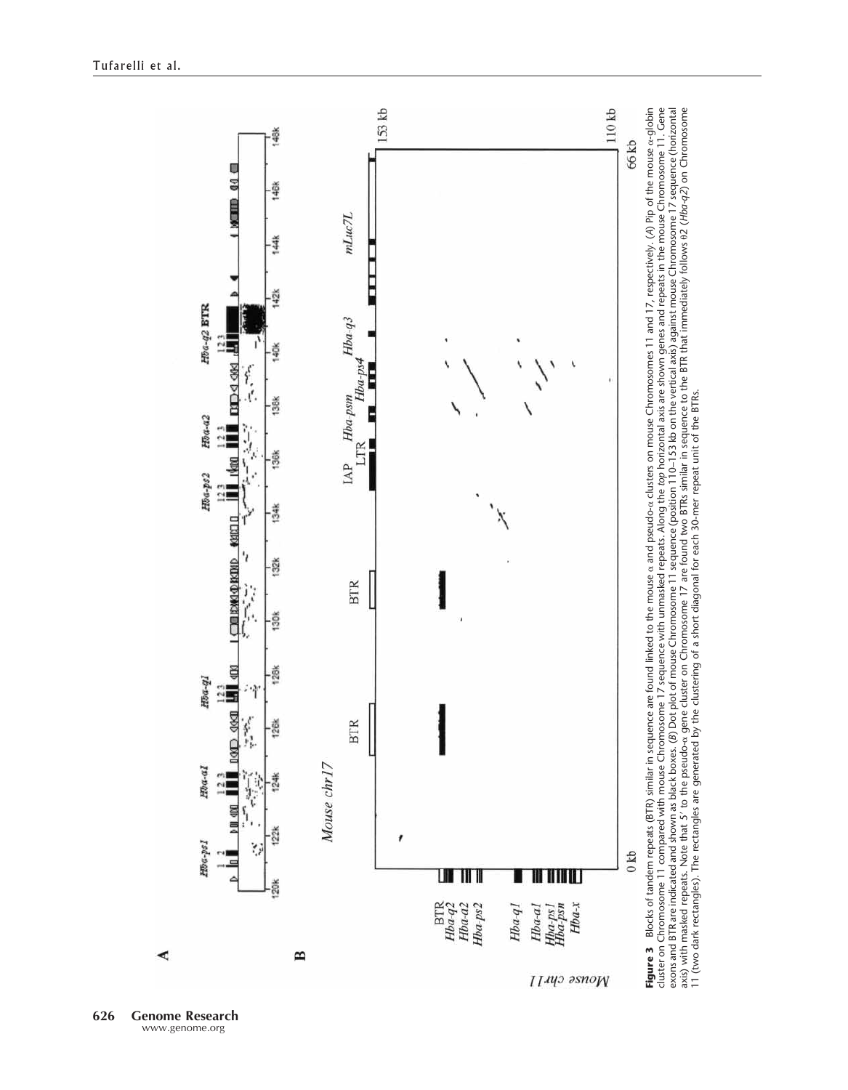

**626 Genome Research** www.genome.org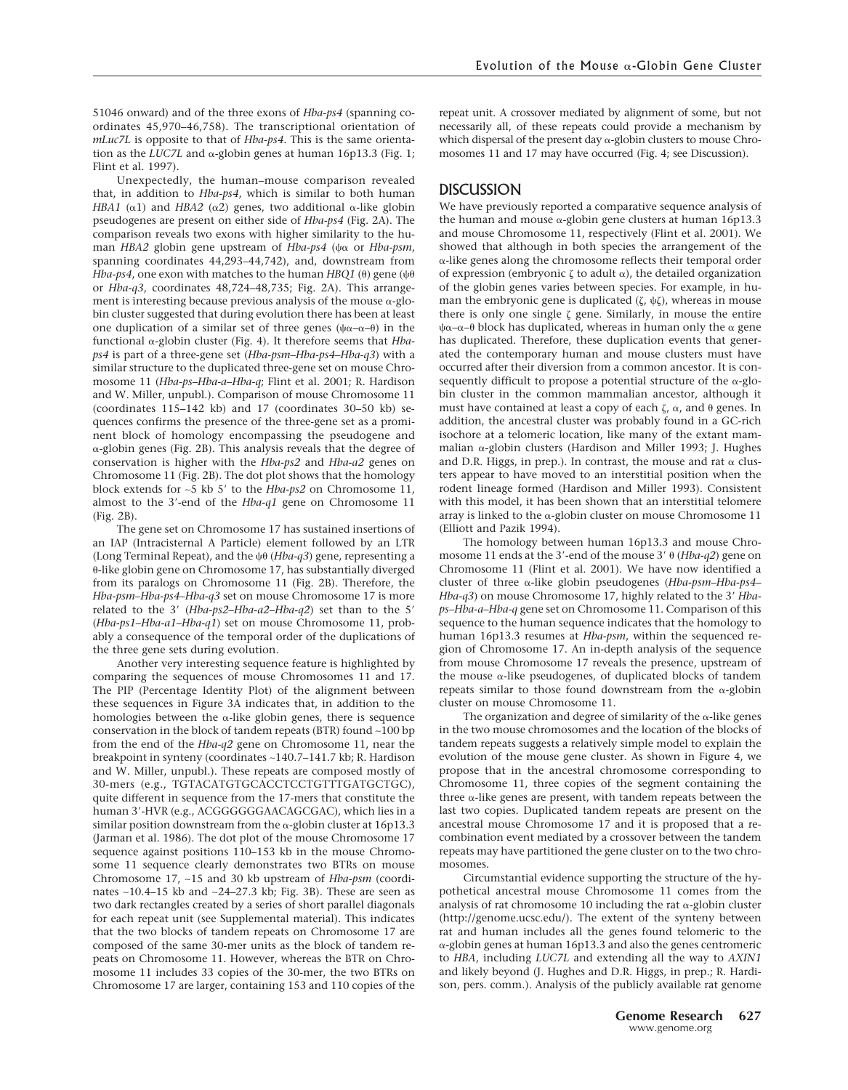51046 onward) and of the three exons of *Hba-ps4* (spanning coordinates 45,970–46,758). The transcriptional orientation of *mLuc7L* is opposite to that of *Hba-ps4*. This is the same orientation as the *LUC7L* and  $\alpha$ -globin genes at human 16p13.3 (Fig. 1; Flint et al. 1997).

Unexpectedly, the human–mouse comparison revealed that, in addition to *Hba-ps4*, which is similar to both human *HBA1* ( $\alpha$ 1) and *HBA2* ( $\alpha$ 2) genes, two additional  $\alpha$ -like globin pseudogenes are present on either side of *Hba-ps4* (Fig. 2A). The comparison reveals two exons with higher similarity to the human *HBA2* globin gene upstream of *Hba-ps4* (ψα or *Hba-psm*, spanning coordinates 44,293–44,742), and, downstream from *Hba-ps4,* one exon with matches to the human *HBQ1* ( $\theta$ ) gene ( $\psi\theta$ or *Hba-q3*, coordinates 48,724–48,735; Fig. 2A). This arrangement is interesting because previous analysis of the mouse  $\alpha$ -globin cluster suggested that during evolution there has been at least one duplication of a similar set of three genes  $(\psi \alpha - \alpha - \theta)$  in the functional α-globin cluster (Fig. 4). It therefore seems that *Hbaps4* is part of a three-gene set (*Hba-psm*–*Hba-ps4*–*Hba-q3*) with a similar structure to the duplicated three-gene set on mouse Chromosome 11 (*Hba-ps*–*Hba-a*–*Hba-q*; Flint et al. 2001; R. Hardison and W. Miller, unpubl.). Comparison of mouse Chromosome 11 (coordinates 115–142 kb) and 17 (coordinates 30–50 kb) sequences confirms the presence of the three-gene set as a prominent block of homology encompassing the pseudogene and -globin genes (Fig. 2B). This analysis reveals that the degree of conservation is higher with the *Hba-ps2* and *Hba-a2* genes on Chromosome 11 (Fig. 2B). The dot plot shows that the homology block extends for ∼5 kb 5 to the *Hba-ps2* on Chromosome 11, almost to the 3-end of the *Hba-q1* gene on Chromosome 11 (Fig. 2B).

The gene set on Chromosome 17 has sustained insertions of an IAP (Intracisternal A Particle) element followed by an LTR (Long Terminal Repeat), and the  $\psi\theta$  (*Hba-q3*) gene, representing a --like globin gene on Chromosome 17, has substantially diverged from its paralogs on Chromosome 11 (Fig. 2B). Therefore, the *Hba-psm*–*Hba-ps4*–*Hba-q3* set on mouse Chromosome 17 is more related to the 3' (*Hba-ps2-Hba-a2-Hba-q2*) set than to the 5' (*Hba-ps1*–*Hba-a1*–*Hba-q1*) set on mouse Chromosome 11, probably a consequence of the temporal order of the duplications of the three gene sets during evolution.

Another very interesting sequence feature is highlighted by comparing the sequences of mouse Chromosomes 11 and 17. The PIP (Percentage Identity Plot) of the alignment between these sequences in Figure 3A indicates that, in addition to the homologies between the  $\alpha$ -like globin genes, there is sequence conservation in the block of tandem repeats (BTR) found ∼100 bp from the end of the *Hba-q2* gene on Chromosome 11, near the breakpoint in synteny (coordinates ∼140.7–141.7 kb; R. Hardison and W. Miller, unpubl.). These repeats are composed mostly of 30-mers (e.g., TGTACATGTGCACCTCCTGTTTGATGCTGC), quite different in sequence from the 17-mers that constitute the human 3'-HVR (e.g., ACGGGGGGAACAGCGAC), which lies in a similar position downstream from the  $\alpha$ -globin cluster at 16p13.3 (Jarman et al. 1986). The dot plot of the mouse Chromosome 17 sequence against positions 110–153 kb in the mouse Chromosome 11 sequence clearly demonstrates two BTRs on mouse Chromosome 17, ∼15 and 30 kb upstream of *Hba-psm* (coordinates ∼10.4–15 kb and ∼24–27.3 kb; Fig. 3B). These are seen as two dark rectangles created by a series of short parallel diagonals for each repeat unit (see Supplemental material). This indicates that the two blocks of tandem repeats on Chromosome 17 are composed of the same 30-mer units as the block of tandem repeats on Chromosome 11. However, whereas the BTR on Chromosome 11 includes 33 copies of the 30-mer, the two BTRs on Chromosome 17 are larger, containing 153 and 110 copies of the

repeat unit. A crossover mediated by alignment of some, but not necessarily all, of these repeats could provide a mechanism by which dispersal of the present day  $\alpha$ -globin clusters to mouse Chromosomes 11 and 17 may have occurred (Fig. 4; see Discussion).

## **DISCUSSION**

We have previously reported a comparative sequence analysis of the human and mouse  $\alpha$ -globin gene clusters at human 16p13.3 and mouse Chromosome 11, respectively (Flint et al. 2001). We showed that although in both species the arrangement of the  $\alpha$ -like genes along the chromosome reflects their temporal order of expression (embryonic  $\zeta$  to adult  $\alpha$ ), the detailed organization of the globin genes varies between species. For example, in human the embryonic gene is duplicated  $(\zeta, \psi \zeta)$ , whereas in mouse there is only one single  $\zeta$  gene. Similarly, in mouse the entire ψα–α–θ block has duplicated, whereas in human only the α gene has duplicated. Therefore, these duplication events that generated the contemporary human and mouse clusters must have occurred after their diversion from a common ancestor. It is consequently difficult to propose a potential structure of the  $\alpha$ -globin cluster in the common mammalian ancestor, although it must have contained at least a copy of each  $\zeta$ ,  $\alpha$ , and  $\theta$  genes. In addition, the ancestral cluster was probably found in a GC-rich isochore at a telomeric location, like many of the extant mammalian  $\alpha$ -globin clusters (Hardison and Miller 1993; J. Hughes and D.R. Higgs, in prep.). In contrast, the mouse and rat  $\alpha$  clusters appear to have moved to an interstitial position when the rodent lineage formed (Hardison and Miller 1993). Consistent with this model, it has been shown that an interstitial telomere array is linked to the  $\alpha$ -globin cluster on mouse Chromosome 11 (Elliott and Pazik 1994).

The homology between human 16p13.3 and mouse Chromosome 11 ends at the 3'-end of the mouse 3' θ (*Hba-q2*) gene on Chromosome 11 (Flint et al. 2001). We have now identified a cluster of three α-like globin pseudogenes (*Hba-psm-Hba-ps4*-Hba-q3) on mouse Chromosome 17, highly related to the 3' Hba*ps*–*Hba-a*–*Hba-q* gene set on Chromosome 11. Comparison of this sequence to the human sequence indicates that the homology to human 16p13.3 resumes at *Hba-psm*, within the sequenced region of Chromosome 17. An in-depth analysis of the sequence from mouse Chromosome 17 reveals the presence, upstream of the mouse  $\alpha$ -like pseudogenes, of duplicated blocks of tandem repeats similar to those found downstream from the  $\alpha$ -globin cluster on mouse Chromosome 11.

The organization and degree of similarity of the  $\alpha$ -like genes in the two mouse chromosomes and the location of the blocks of tandem repeats suggests a relatively simple model to explain the evolution of the mouse gene cluster. As shown in Figure 4, we propose that in the ancestral chromosome corresponding to Chromosome 11, three copies of the segment containing the three  $\alpha$ -like genes are present, with tandem repeats between the last two copies. Duplicated tandem repeats are present on the ancestral mouse Chromosome 17 and it is proposed that a recombination event mediated by a crossover between the tandem repeats may have partitioned the gene cluster on to the two chromosomes.

Circumstantial evidence supporting the structure of the hypothetical ancestral mouse Chromosome 11 comes from the analysis of rat chromosome 10 including the rat  $\alpha$ -globin cluster (http://genome.ucsc.edu/). The extent of the synteny between rat and human includes all the genes found telomeric to the  $\alpha$ -globin genes at human 16p13.3 and also the genes centromeric to *HBA*, including *LUC7L* and extending all the way to *AXIN1* and likely beyond (J. Hughes and D.R. Higgs, in prep.; R. Hardison, pers. comm.). Analysis of the publicly available rat genome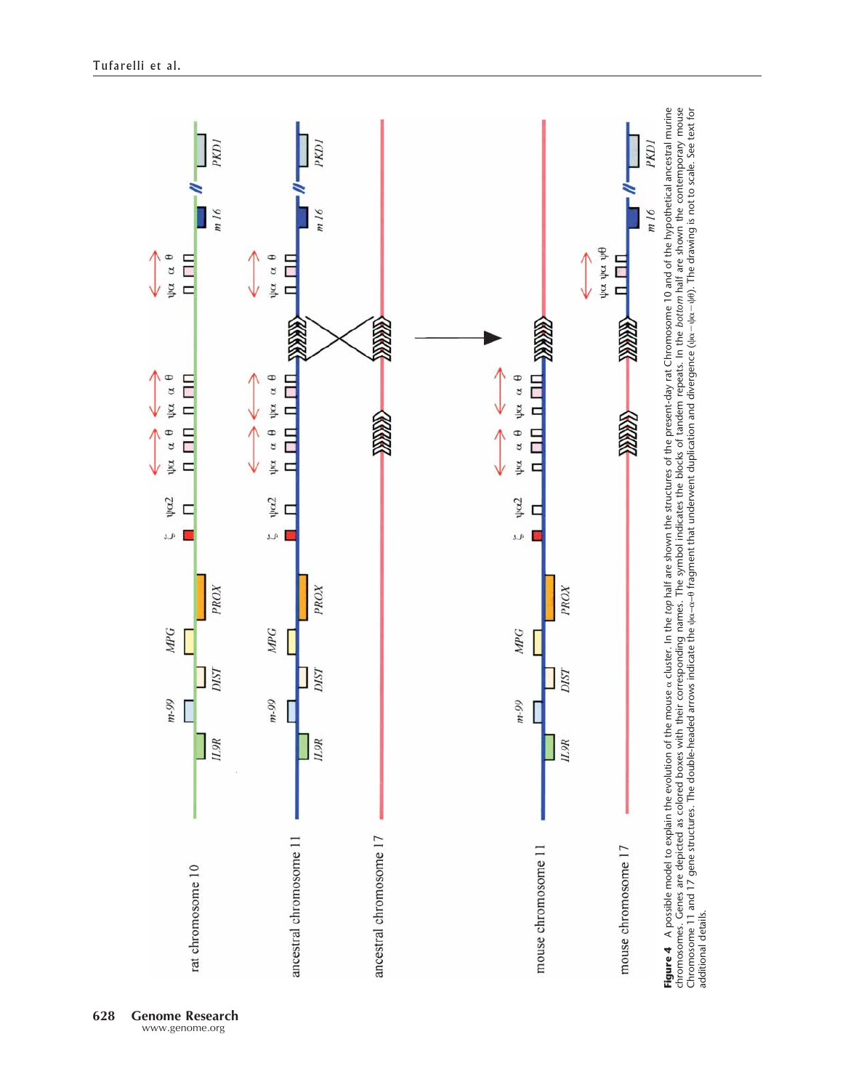

**628 Genome Research** www.genome.org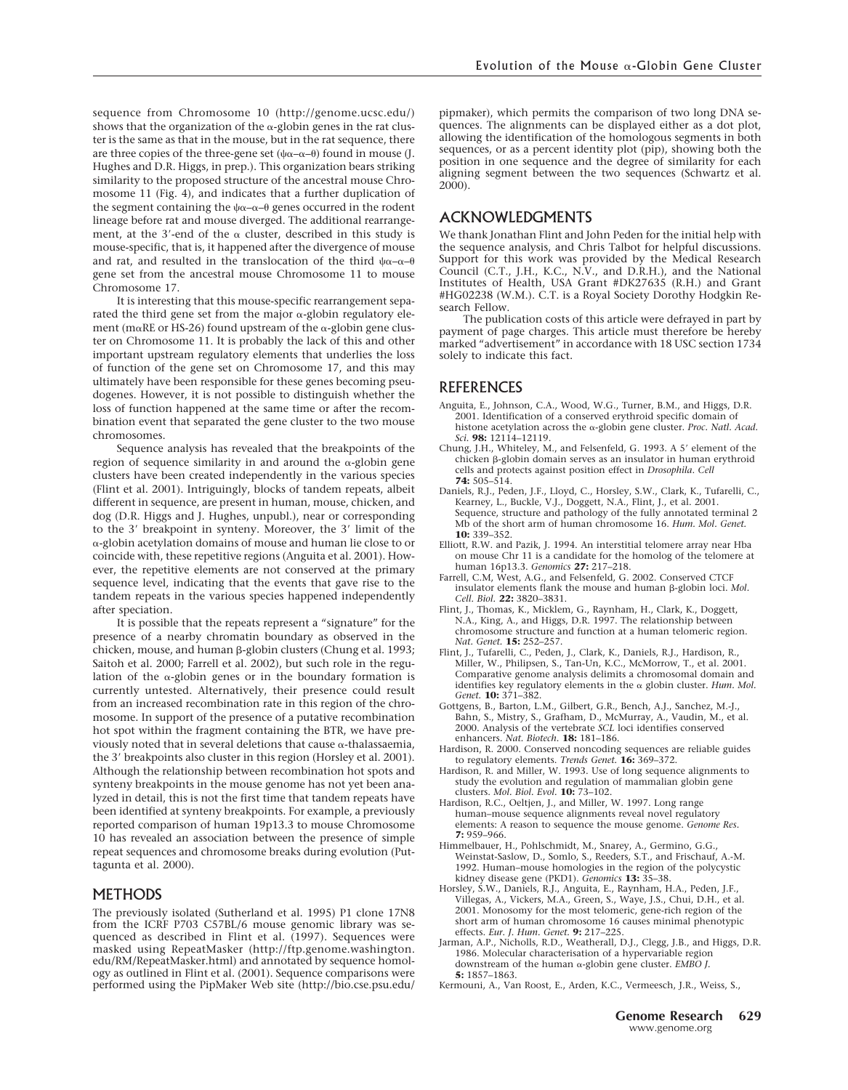sequence from Chromosome 10 (http://genome.ucsc.edu/) shows that the organization of the  $\alpha$ -globin genes in the rat cluster is the same as that in the mouse, but in the rat sequence, there are three copies of the three-gene set  $(\psi \alpha - \alpha - \theta)$  found in mouse (J. Hughes and D.R. Higgs, in prep.). This organization bears striking similarity to the proposed structure of the ancestral mouse Chromosome 11 (Fig. 4), and indicates that a further duplication of the segment containing the  $\psi \alpha-\alpha-\theta$  genes occurred in the rodent lineage before rat and mouse diverged. The additional rearrangement, at the 3'-end of the  $\alpha$  cluster, described in this study is mouse-specific, that is, it happened after the divergence of mouse and rat, and resulted in the translocation of the third  $\psi\alpha-\alpha-\theta$ gene set from the ancestral mouse Chromosome 11 to mouse Chromosome 17.

It is interesting that this mouse-specific rearrangement separated the third gene set from the major  $\alpha$ -globin regulatory element (m $\alpha$ RE or HS-26) found upstream of the  $\alpha$ -globin gene cluster on Chromosome 11. It is probably the lack of this and other important upstream regulatory elements that underlies the loss of function of the gene set on Chromosome 17, and this may ultimately have been responsible for these genes becoming pseudogenes. However, it is not possible to distinguish whether the loss of function happened at the same time or after the recombination event that separated the gene cluster to the two mouse chromosomes.

Sequence analysis has revealed that the breakpoints of the region of sequence similarity in and around the  $\alpha$ -globin gene clusters have been created independently in the various species (Flint et al. 2001). Intriguingly, blocks of tandem repeats, albeit different in sequence, are present in human, mouse, chicken, and dog (D.R. Higgs and J. Hughes, unpubl.), near or corresponding to the 3' breakpoint in synteny. Moreover, the 3' limit of the -globin acetylation domains of mouse and human lie close to or coincide with, these repetitive regions (Anguita et al. 2001). However, the repetitive elements are not conserved at the primary sequence level, indicating that the events that gave rise to the tandem repeats in the various species happened independently after speciation.

It is possible that the repeats represent a "signature" for the presence of a nearby chromatin boundary as observed in the chicken, mouse, and human  $\beta$ -globin clusters (Chung et al. 1993; Saitoh et al. 2000; Farrell et al. 2002), but such role in the regulation of the  $\alpha$ -globin genes or in the boundary formation is currently untested. Alternatively, their presence could result from an increased recombination rate in this region of the chromosome. In support of the presence of a putative recombination hot spot within the fragment containing the BTR, we have previously noted that in several deletions that cause  $\alpha$ -thalassaemia, the 3' breakpoints also cluster in this region (Horsley et al. 2001). Although the relationship between recombination hot spots and synteny breakpoints in the mouse genome has not yet been analyzed in detail, this is not the first time that tandem repeats have been identified at synteny breakpoints. For example, a previously reported comparison of human 19p13.3 to mouse Chromosome 10 has revealed an association between the presence of simple repeat sequences and chromosome breaks during evolution (Puttagunta et al. 2000).

#### METHODS

The previously isolated (Sutherland et al. 1995) P1 clone 17N8 from the ICRF P703 C57BL/6 mouse genomic library was sequenced as described in Flint et al. (1997). Sequences were masked using RepeatMasker (http://ftp.genome.washington. edu/RM/RepeatMasker.html) and annotated by sequence homology as outlined in Flint et al. (2001). Sequence comparisons were performed using the PipMaker Web site (http://bio.cse.psu.edu/ pipmaker), which permits the comparison of two long DNA sequences. The alignments can be displayed either as a dot plot, allowing the identification of the homologous segments in both sequences, or as a percent identity plot (pip), showing both the position in one sequence and the degree of similarity for each aligning segment between the two sequences (Schwartz et al. 2000).

#### ACKNOWLEDGMENTS

We thank Jonathan Flint and John Peden for the initial help with the sequence analysis, and Chris Talbot for helpful discussions. Support for this work was provided by the Medical Research Council (C.T., J.H., K.C., N.V., and D.R.H.), and the National Institutes of Health, USA Grant #DK27635 (R.H.) and Grant #HG02238 (W.M.). C.T. is a Royal Society Dorothy Hodgkin Research Fellow.

The publication costs of this article were defrayed in part by payment of page charges. This article must therefore be hereby marked "advertisement" in accordance with 18 USC section 1734 solely to indicate this fact.

#### REFERENCES

- Anguita, E., Johnson, C.A., Wood, W.G., Turner, B.M., and Higgs, D.R. 2001. Identification of a conserved erythroid specific domain of histone acetylation across the  $\alpha$ -globin gene cluster. *Proc. Natl. Acad. Sci.* **98:** 12114–12119.
- Chung, J.H., Whiteley, M., and Felsenfeld, G. 1993. A 5' element of the chicken  $\beta$ -globin domain serves as an insulator in human erythroid cells and protects against position effect in *Drosophila*. *Cell* **74:** 505–514.
- Daniels, R.J., Peden, J.F., Lloyd, C., Horsley, S.W., Clark, K., Tufarelli, C., Kearney, L., Buckle, V.J., Doggett, N.A., Flint, J., et al. 2001. Sequence, structure and pathology of the fully annotated terminal 2 Mb of the short arm of human chromosome 16. *Hum. Mol. Genet.* **10:** 339–352.
- Elliott, R.W. and Pazik, J. 1994. An interstitial telomere array near Hba on mouse Chr 11 is a candidate for the homolog of the telomere at human 16p13.3. *Genomics* **27:** 217–218.
- Farrell, C.M, West, A.G., and Felsenfeld, G. 2002. Conserved CTCF insulator elements flank the mouse and human  $\beta$ -globin loci. *Mol. Cell. Biol.* **22:** 3820–3831.
- Flint, J., Thomas, K., Micklem, G., Raynham, H., Clark, K., Doggett, N.A., King, A., and Higgs, D.R. 1997. The relationship between chromosome structure and function at a human telomeric region. *Nat. Genet.* **15:** 252–257.
- Flint, J., Tufarelli, C., Peden, J., Clark, K., Daniels, R.J., Hardison, R., Miller, W., Philipsen, S., Tan-Un, K.C., McMorrow, T., et al. 2001. Comparative genome analysis delimits a chromosomal domain and identifies key regulatory elements in the  $\alpha$  globin cluster. *Hum. Mol. Genet.* **10:** 371–382.
- Gottgens, B., Barton, L.M., Gilbert, G.R., Bench, A.J., Sanchez, M.-J., Bahn, S., Mistry, S., Grafham, D., McMurray, A., Vaudin, M., et al. 2000. Analysis of the vertebrate *SCL* loci identifies conserved enhancers. *Nat. Biotech.* **18:** 181–186.
- Hardison, R. 2000. Conserved noncoding sequences are reliable guides to regulatory elements. *Trends Genet.* **16:** 369–372.
- Hardison, R. and Miller, W. 1993. Use of long sequence alignments to study the evolution and regulation of mammalian globin gene clusters. *Mol. Biol. Evol.* **10:** 73–102.
- Hardison, R.C., Oeltjen, J., and Miller, W. 1997. Long range human–mouse sequence alignments reveal novel regulatory elements: A reason to sequence the mouse genome. *Genome Res.* **7:** 959–966.
- Himmelbauer, H., Pohlschmidt, M., Snarey, A., Germino, G.G., Weinstat-Saslow, D., Somlo, S., Reeders, S.T., and Frischauf, A.-M. 1992. Human–mouse homologies in the region of the polycystic kidney disease gene (PKD1). *Genomics* **13:** 35–38.
- Horsley, S.W., Daniels, R.J., Anguita, E., Raynham, H.A., Peden, J.F., Villegas, A., Vickers, M.A., Green, S., Waye, J.S., Chui, D.H., et al. 2001. Monosomy for the most telomeric, gene-rich region of the short arm of human chromosome 16 causes minimal phenotypic effects. *Eur. J. Hum. Genet.* **9:** 217–225.
- Jarman, A.P., Nicholls, R.D., Weatherall, D.J., Clegg, J.B., and Higgs, D.R. 1986. Molecular characterisation of a hypervariable region downstream of the human  $\alpha$ -globin gene cluster. *EMBO I*. **5:** 1857–1863.
- Kermouni, A., Van Roost, E., Arden, K.C., Vermeesch, J.R., Weiss, S.,